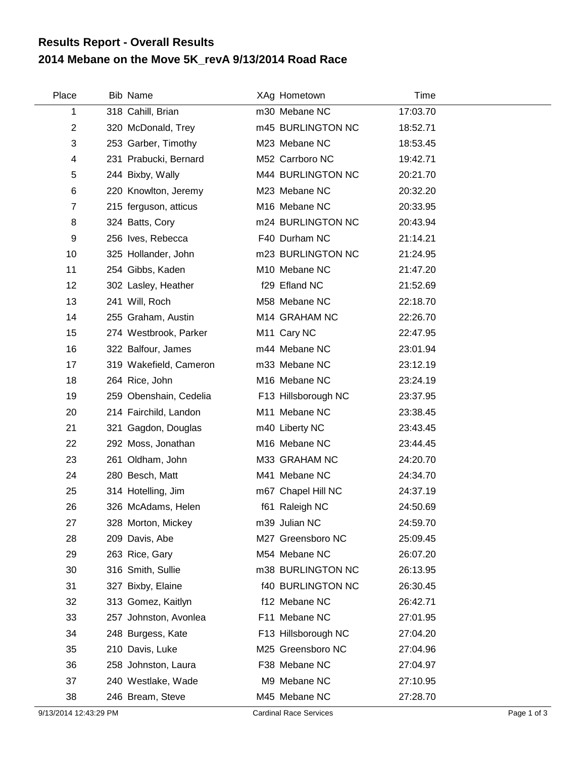## **2014 Mebane on the Move 5K\_revA 9/13/2014 Road Race Results Report - Overall Results**

| Place          | <b>Bib Name</b>        | XAg Hometown             | Time     |
|----------------|------------------------|--------------------------|----------|
| 1              | 318 Cahill, Brian      | m30 Mebane NC            | 17:03.70 |
| $\overline{2}$ | 320 McDonald, Trey     | m45 BURLINGTON NC        | 18:52.71 |
| 3              | 253 Garber, Timothy    | M23 Mebane NC            | 18:53.45 |
| 4              | 231 Prabucki, Bernard  | M52 Carrboro NC          | 19:42.71 |
| 5              | 244 Bixby, Wally       | M44 BURLINGTON NC        | 20:21.70 |
| 6              | 220 Knowlton, Jeremy   | M23 Mebane NC            | 20:32.20 |
| 7              | 215 ferguson, atticus  | M16 Mebane NC            | 20:33.95 |
| 8              | 324 Batts, Cory        | m24 BURLINGTON NC        | 20:43.94 |
| 9              | 256 Ives, Rebecca      | F40 Durham NC            | 21:14.21 |
| 10             | 325 Hollander, John    | m23 BURLINGTON NC        | 21:24.95 |
| 11             | 254 Gibbs, Kaden       | M10 Mebane NC            | 21:47.20 |
| 12             | 302 Lasley, Heather    | f29 Efland NC            | 21:52.69 |
| 13             | 241 Will, Roch         | M58 Mebane NC            | 22:18.70 |
| 14             | 255 Graham, Austin     | M14 GRAHAM NC            | 22:26.70 |
| 15             | 274 Westbrook, Parker  | M11 Cary NC              | 22:47.95 |
| 16             | 322 Balfour, James     | m44 Mebane NC            | 23:01.94 |
| 17             | 319 Wakefield, Cameron | m33 Mebane NC            | 23:12.19 |
| 18             | 264 Rice, John         | M16 Mebane NC            | 23:24.19 |
| 19             | 259 Obenshain, Cedelia | F13 Hillsborough NC      | 23:37.95 |
| 20             | 214 Fairchild, Landon  | M11 Mebane NC            | 23:38.45 |
| 21             | 321 Gagdon, Douglas    | m40 Liberty NC           | 23:43.45 |
| 22             | 292 Moss, Jonathan     | M16 Mebane NC            | 23:44.45 |
| 23             | 261 Oldham, John       | M33 GRAHAM NC            | 24:20.70 |
| 24             | 280 Besch, Matt        | M41 Mebane NC            | 24:34.70 |
| 25             | 314 Hotelling, Jim     | m67 Chapel Hill NC       | 24:37.19 |
| 26             | 326 McAdams, Helen     | f61 Raleigh NC           | 24:50.69 |
| 27             | 328 Morton, Mickey     | m39 Julian NC            | 24:59.70 |
| 28             | 209 Davis, Abe         | M27 Greensboro NC        | 25:09.45 |
| 29             | 263 Rice, Gary         | M54 Mebane NC            | 26:07.20 |
| 30             | 316 Smith, Sullie      | m38 BURLINGTON NC        | 26:13.95 |
| 31             | 327 Bixby, Elaine      | <b>f40 BURLINGTON NC</b> | 26:30.45 |
| 32             | 313 Gomez, Kaitlyn     | f12 Mebane NC            | 26:42.71 |
| 33             | 257 Johnston, Avonlea  | F11 Mebane NC            | 27:01.95 |
| 34             | 248 Burgess, Kate      | F13 Hillsborough NC      | 27:04.20 |
| 35             | 210 Davis, Luke        | M25 Greensboro NC        | 27:04.96 |
| 36             | 258 Johnston, Laura    | F38 Mebane NC            | 27:04.97 |
| 37             | 240 Westlake, Wade     | M9 Mebane NC             | 27:10.95 |
| 38             | 246 Bream, Steve       | M45 Mebane NC            | 27:28.70 |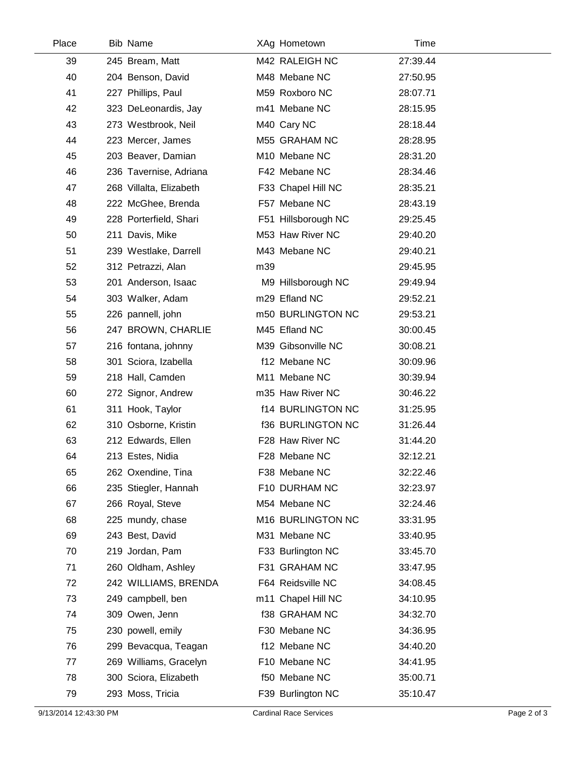| Place | Bib Name                | XAg Hometown              | Time     |  |
|-------|-------------------------|---------------------------|----------|--|
| 39    | 245 Bream, Matt         | M42 RALEIGH NC            | 27:39.44 |  |
| 40    | 204 Benson, David       | M48 Mebane NC             | 27:50.95 |  |
| 41    | 227 Phillips, Paul      | M59 Roxboro NC            | 28:07.71 |  |
| 42    | 323 DeLeonardis, Jay    | m41 Mebane NC             | 28:15.95 |  |
| 43    | 273 Westbrook, Neil     | M40 Cary NC               | 28:18.44 |  |
| 44    | 223 Mercer, James       | M55 GRAHAM NC             | 28:28.95 |  |
| 45    | 203 Beaver, Damian      | M10 Mebane NC             | 28:31.20 |  |
| 46    | 236 Tavernise, Adriana  | F42 Mebane NC             | 28:34.46 |  |
| 47    | 268 Villalta, Elizabeth | F33 Chapel Hill NC        | 28:35.21 |  |
| 48    | 222 McGhee, Brenda      | F57 Mebane NC             | 28:43.19 |  |
| 49    | 228 Porterfield, Shari  | F51 Hillsborough NC       | 29:25.45 |  |
| 50    | 211 Davis, Mike         | M53 Haw River NC          | 29:40.20 |  |
| 51    | 239 Westlake, Darrell   | M43 Mebane NC             | 29:40.21 |  |
| 52    | 312 Petrazzi, Alan      | m39                       | 29:45.95 |  |
| 53    | 201 Anderson, Isaac     | M9 Hillsborough NC        | 29:49.94 |  |
| 54    | 303 Walker, Adam        | m29 Efland NC             | 29:52.21 |  |
| 55    | 226 pannell, john       | m50 BURLINGTON NC         | 29:53.21 |  |
| 56    | 247 BROWN, CHARLIE      | M45 Efland NC             | 30:00.45 |  |
| 57    | 216 fontana, johnny     | M39 Gibsonville NC        | 30:08.21 |  |
| 58    | 301 Sciora, Izabella    | f12 Mebane NC             | 30:09.96 |  |
| 59    | 218 Hall, Camden        | M <sub>11</sub> Mebane NC | 30:39.94 |  |
| 60    | 272 Signor, Andrew      | m35 Haw River NC          | 30:46.22 |  |
| 61    | 311 Hook, Taylor        | <b>f14 BURLINGTON NC</b>  | 31:25.95 |  |
| 62    | 310 Osborne, Kristin    | <b>f36 BURLINGTON NC</b>  | 31:26.44 |  |
| 63    | 212 Edwards, Ellen      | F28 Haw River NC          | 31:44.20 |  |
| 64    | 213 Estes, Nidia        | F28 Mebane NC             | 32:12.21 |  |
| 65    | 262 Oxendine, Tina      | F38 Mebane NC             | 32:22.46 |  |
| 66    | 235 Stiegler, Hannah    | F10 DURHAM NC             | 32:23.97 |  |
| 67    | 266 Royal, Steve        | M54 Mebane NC             | 32:24.46 |  |
| 68    | 225 mundy, chase        | M16 BURLINGTON NC         | 33:31.95 |  |
| 69    | 243 Best, David         | M31 Mebane NC             | 33:40.95 |  |
| 70    | 219 Jordan, Pam         | F33 Burlington NC         | 33:45.70 |  |
| 71    | 260 Oldham, Ashley      | F31 GRAHAM NC             | 33:47.95 |  |
| 72    | 242 WILLIAMS, BRENDA    | F64 Reidsville NC         | 34:08.45 |  |
| 73    | 249 campbell, ben       | m11 Chapel Hill NC        | 34:10.95 |  |
| 74    | 309 Owen, Jenn          | <b>f38 GRAHAM NC</b>      | 34:32.70 |  |
| 75    | 230 powell, emily       | F30 Mebane NC             | 34:36.95 |  |
| 76    | 299 Bevacqua, Teagan    | f12 Mebane NC             | 34:40.20 |  |
| 77    | 269 Williams, Gracelyn  | F10 Mebane NC             | 34:41.95 |  |
| 78    | 300 Sciora, Elizabeth   | f50 Mebane NC             | 35:00.71 |  |
| 79    | 293 Moss, Tricia        | F39 Burlington NC         | 35:10.47 |  |